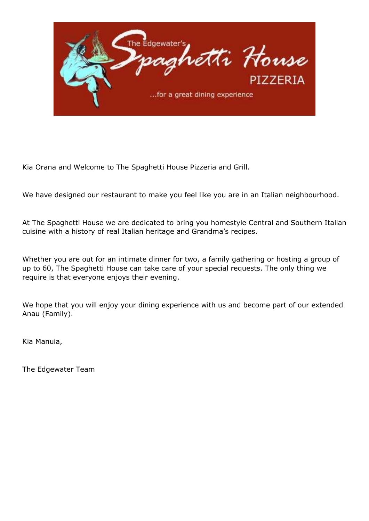

Kia Orana and Welcome to The Spaghetti House Pizzeria and Grill.

We have designed our restaurant to make you feel like you are in an Italian neighbourhood.

At The Spaghetti House we are dedicated to bring you homestyle Central and Southern Italian cuisine with a history of real Italian heritage and Grandma's recipes.

Whether you are out for an intimate dinner for two, a family gathering or hosting a group of up to 60, The Spaghetti House can take care of your special requests. The only thing we require is that everyone enjoys their evening.

We hope that you will enjoy your dining experience with us and become part of our extended Anau (Family).

Kia Manuia,

The Edgewater Team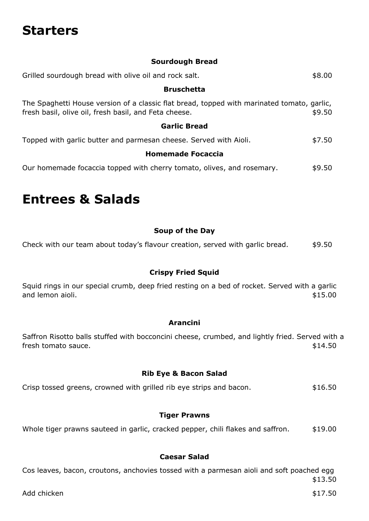# **Starters**

#### **Sourdough Bread**

| Grilled sourdough bread with olive oil and rock salt.                                                                                               | \$8.00 |
|-----------------------------------------------------------------------------------------------------------------------------------------------------|--------|
| <b>Bruschetta</b>                                                                                                                                   |        |
| The Spaghetti House version of a classic flat bread, topped with marinated tomato, garlic,<br>fresh basil, olive oil, fresh basil, and Feta cheese. | \$9.50 |
| <b>Garlic Bread</b>                                                                                                                                 |        |
| Topped with garlic butter and parmesan cheese. Served with Aioli.                                                                                   | \$7.50 |
| <b>Homemade Focaccia</b>                                                                                                                            |        |
| Our homemade focaccia topped with cherry tomato, olives, and rosemary.                                                                              | \$9.50 |

### **Entrees & Salads**

#### **Soup of the Day**

Check with our team about today's flavour creation, served with garlic bread.  $$9.50$ 

#### **Crispy Fried Squid**

Squid rings in our special crumb, deep fried resting on a bed of rocket. Served with a garlic and lemon aioli.  $$15.00$ 

#### **Arancini**

Saffron Risotto balls stuffed with bocconcini cheese, crumbed, and lightly fried. Served with a fresh tomato sauce.  $$14.50$ 

#### **Rib Eye & Bacon Salad**

Crisp tossed greens, crowned with grilled rib eye strips and bacon.  $$16.50$ 

#### **Tiger Prawns**

Whole tiger prawns sauteed in garlic, cracked pepper, chili flakes and saffron.  $$19.00$ 

#### **Caesar Salad**

Cos leaves, bacon, croutons, anchovies tossed with a parmesan aioli and soft poached egg \$13.50

Add chicken \$17.50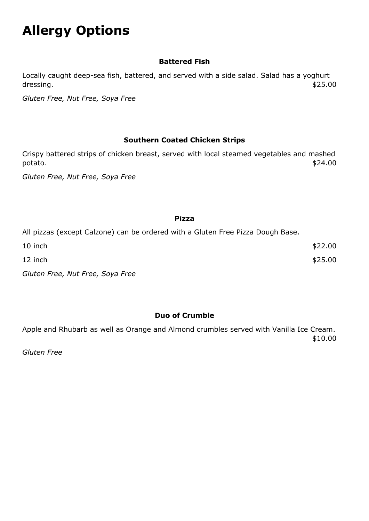# **Allergy Options**

#### **Battered Fish**

Locally caught deep-sea fish, battered, and served with a side salad. Salad has a yoghurt dressing.  $$25.00$ 

*Gluten Free, Nut Free, Soya Free*

#### **Southern Coated Chicken Strips**

Crispy battered strips of chicken breast, served with local steamed vegetables and mashed potato. \$24.00

*Gluten Free, Nut Free, Soya Free*

#### **Pizza**

All pizzas (except Calzone) can be ordered with a Gluten Free Pizza Dough Base.

| 10 inch | \$22.00 |
|---------|---------|
| 12 inch | \$25.00 |
|         |         |

*Gluten Free, Nut Free, Soya Free*

#### **Duo of Crumble**

Apple and Rhubarb as well as Orange and Almond crumbles served with Vanilla Ice Cream. \$10.00

*Gluten Free*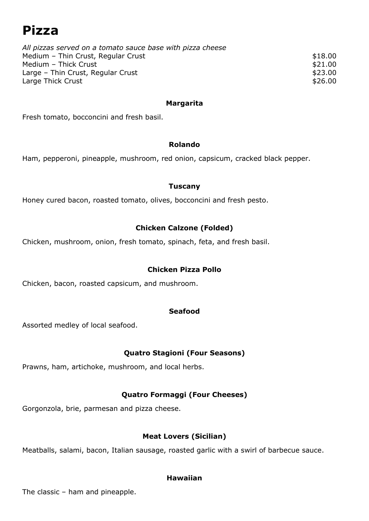### **Pizza**

| All pizzas served on a tomato sauce base with pizza cheese |         |
|------------------------------------------------------------|---------|
| Medium - Thin Crust, Regular Crust                         | \$18.00 |
| Medium - Thick Crust                                       | \$21.00 |
| Large - Thin Crust, Regular Crust                          | \$23.00 |
| Large Thick Crust                                          | \$26.00 |
|                                                            |         |

#### **Margarita**

Fresh tomato, bocconcini and fresh basil.

#### **Rolando**

Ham, pepperoni, pineapple, mushroom, red onion, capsicum, cracked black pepper.

#### **Tuscany**

Honey cured bacon, roasted tomato, olives, bocconcini and fresh pesto.

#### **Chicken Calzone (Folded)**

Chicken, mushroom, onion, fresh tomato, spinach, feta, and fresh basil.

#### **Chicken Pizza Pollo**

Chicken, bacon, roasted capsicum, and mushroom.

#### **Seafood**

Assorted medley of local seafood.

#### **Quatro Stagioni (Four Seasons)**

Prawns, ham, artichoke, mushroom, and local herbs.

#### **Quatro Formaggi (Four Cheeses)**

Gorgonzola, brie, parmesan and pizza cheese.

#### **Meat Lovers (Sicilian)**

Meatballs, salami, bacon, Italian sausage, roasted garlic with a swirl of barbecue sauce.

#### **Hawaiian**

The classic – ham and pineapple.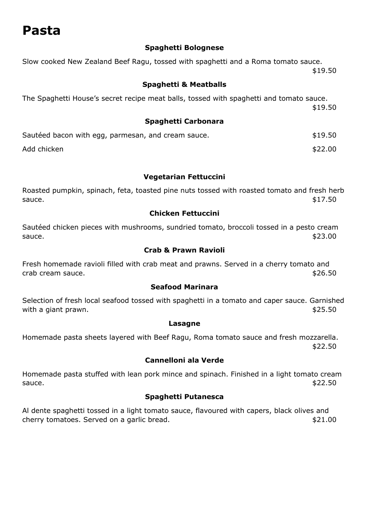### **Pasta**

#### **Spaghetti Bolognese**

Slow cooked New Zealand Beef Ragu, tossed with spaghetti and a Roma tomato sauce. \$19.50

#### **Spaghetti & Meatballs**

The Spaghetti House's secret recipe meat balls, tossed with spaghetti and tomato sauce. \$19.50

#### **Spaghetti Carbonara**

| Sautéed bacon with egg, parmesan, and cream sauce. | \$19.50 |
|----------------------------------------------------|---------|
| Add chicken                                        | \$22.00 |

#### **Vegetarian Fettuccini**

Roasted pumpkin, spinach, feta, toasted pine nuts tossed with roasted tomato and fresh herb  $s$ auce.  $$17.50$ 

#### **Chicken Fettuccini**

Sautéed chicken pieces with mushrooms, sundried tomato, broccoli tossed in a pesto cream  $\text{square}.$   $\text{$}$ 

#### **Crab & Prawn Ravioli**

Fresh homemade ravioli filled with crab meat and prawns. Served in a cherry tomato and crab cream sauce.  $$26.50$ 

#### **Seafood Marinara**

Selection of fresh local seafood tossed with spaghetti in a tomato and caper sauce. Garnished with a giant prawn.  $$25.50$ 

#### **Lasagne**

Homemade pasta sheets layered with Beef Ragu, Roma tomato sauce and fresh mozzarella. \$22.50

#### **Cannelloni ala Verde**

Homemade pasta stuffed with lean pork mince and spinach. Finished in a light tomato cream  $s$ auce.  $$22.50$ 

#### **Spaghetti Putanesca**

Al dente spaghetti tossed in a light tomato sauce, flavoured with capers, black olives and cherry tomatoes. Served on a garlic bread.  $$21.00$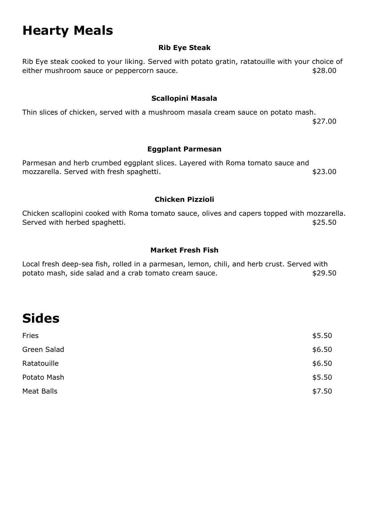# **Hearty Meals**

#### **Rib Eye Steak**

Rib Eye steak cooked to your liking. Served with potato gratin, ratatouille with your choice of either mushroom sauce or peppercorn sauce.  $$28.00$ 

#### **Scallopini Masala**

Thin slices of chicken, served with a mushroom masala cream sauce on potato mash. \$27.00

#### **Eggplant Parmesan**

Parmesan and herb crumbed eggplant slices. Layered with Roma tomato sauce and mozzarella. Served with fresh spaghetti.  $$23.00$ 

#### **Chicken Pizzioli**

Chicken scallopini cooked with Roma tomato sauce, olives and capers topped with mozzarella. Served with herbed spaghetti.  $$25.50$ 

#### **Market Fresh Fish**

Local fresh deep-sea fish, rolled in a parmesan, lemon, chili, and herb crust. Served with potato mash, side salad and a crab tomato cream sauce.  $$29.50$ 

# **Sides**

| Green Salad<br>Ratatouille<br>Potato Mash<br>Meat Balls | Fries | \$5.50 |
|---------------------------------------------------------|-------|--------|
|                                                         |       | \$6.50 |
|                                                         |       | \$6.50 |
|                                                         |       | \$5.50 |
|                                                         |       | \$7.50 |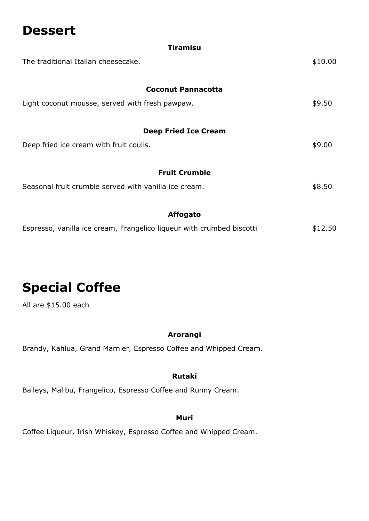### **Dessert**

| <b>Tiramisu</b>                                                       |         |
|-----------------------------------------------------------------------|---------|
| The traditional Italian cheesecake.                                   | \$10.00 |
| <b>Coconut Pannacotta</b>                                             |         |
| Light coconut mousse, served with fresh pawpaw.                       | \$9.50  |
| <b>Deep Fried Ice Cream</b>                                           |         |
| Deep fried ice cream with fruit coulis.                               | \$9.00  |
| <b>Fruit Crumble</b>                                                  |         |
| Seasonal fruit crumble served with vanilla ice cream.                 | \$8.50  |
| <b>Affogato</b>                                                       |         |
| Espresso, vanilla ice cream, Frangelico liqueur with crumbed biscotti | \$12.50 |

### **Special Coffee**

All are \$15.00 each

#### **Arorangi**

Brandy, Kahlua, Grand Marnier, Espresso Coffee and Whipped Cream.

#### **Rutaki**

Baileys, Malibu, Frangelico, Espresso Coffee and Runny Cream.

#### **Muri**

Coffee Liqueur, Irish Whiskey, Espresso Coffee and Whipped Cream.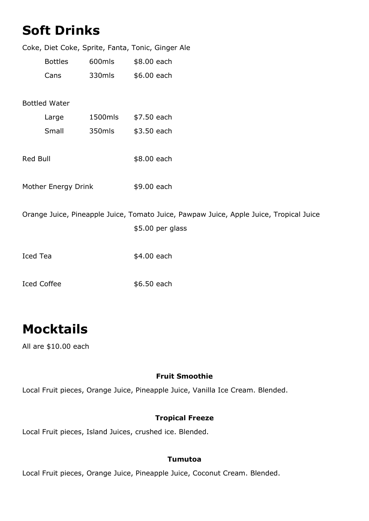|                      | <b>Soft Drinks</b>  |         |                                                                                        |
|----------------------|---------------------|---------|----------------------------------------------------------------------------------------|
|                      |                     |         | Coke, Diet Coke, Sprite, Fanta, Tonic, Ginger Ale                                      |
|                      | <b>Bottles</b>      | 600mls  | \$8.00 each                                                                            |
|                      | Cans                | 330mls  | \$6.00 each                                                                            |
| <b>Bottled Water</b> |                     |         |                                                                                        |
|                      | Large               | 1500mls | \$7.50 each                                                                            |
|                      | Small               | 350mls  | \$3.50 each                                                                            |
| Red Bull             |                     |         | \$8.00 each                                                                            |
|                      | Mother Energy Drink |         | \$9.00 each                                                                            |
|                      |                     |         | Orange Juice, Pineapple Juice, Tomato Juice, Pawpaw Juice, Apple Juice, Tropical Juice |
|                      |                     |         | \$5.00 per glass                                                                       |
| <b>Iced Tea</b>      |                     |         | \$4.00 each                                                                            |
| <b>Iced Coffee</b>   |                     |         | \$6.50 each                                                                            |

# **Mocktails**

All are \$10.00 each

#### **Fruit Smoothie**

Local Fruit pieces, Orange Juice, Pineapple Juice, Vanilla Ice Cream. Blended.

#### **Tropical Freeze**

Local Fruit pieces, Island Juices, crushed ice. Blended.

#### **Tumutoa**

Local Fruit pieces, Orange Juice, Pineapple Juice, Coconut Cream. Blended.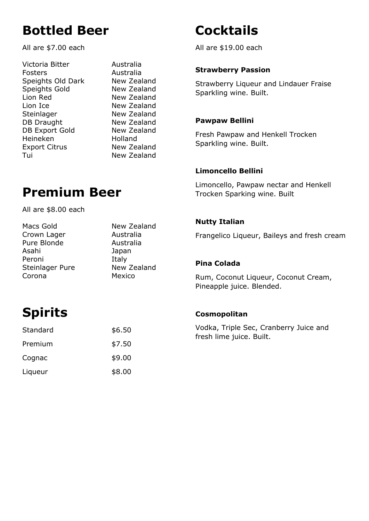## **Bottled Beer**

All are \$7.00 each

Victoria Bitter Australia Fosters Australia Speights Old Dark New Zealand Speights Gold New Zealand Lion Red New Zealand Lion Ice New Zealand Steinlager New Zealand DB Draught New Zealand DB Export Gold New Zealand Heineken Holland Export Citrus New Zealand Tui New Zealand

# **Premium Beer**

All are \$8.00 each

| Macs Gold       | New Zealand |
|-----------------|-------------|
| Crown Lager     | Australia   |
| Pure Blonde     | Australia   |
| Asahi           | Japan       |
| Peroni          | Italy       |
| Steinlager Pure | New Zealand |
| Corona          | Mexico      |

# **Cocktails**

All are \$19.00 each

#### **Strawberry Passion**

Strawberry Liqueur and Lindauer Fraise Sparkling wine. Built.

#### **Pawpaw Bellini**

Fresh Pawpaw and Henkell Trocken Sparkling wine. Built.

#### **Limoncello Bellini**

Limoncello, Pawpaw nectar and Henkell Trocken Sparking wine. Built

#### **Nutty Italian**

Frangelico Liqueur, Baileys and fresh cream

#### **Pina Colada**

Rum, Coconut Liqueur, Coconut Cream, Pineapple juice. Blended.

# **Spirits**

| Standard | \$6.50 |
|----------|--------|
| Premium  | \$7.50 |
| Cognac   | \$9.00 |
| Liqueur  | \$8.00 |

#### **Cosmopolitan**

Vodka, Triple Sec, Cranberry Juice and fresh lime juice. Built.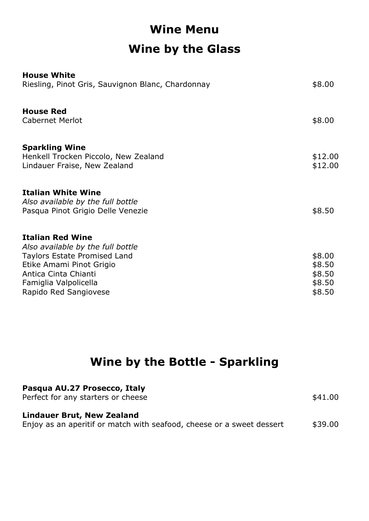# **Wine Menu Wine by the Glass**

| <b>House White</b><br>Riesling, Pinot Gris, Sauvignon Blanc, Chardonnay                                                                                                                            | \$8.00                                         |
|----------------------------------------------------------------------------------------------------------------------------------------------------------------------------------------------------|------------------------------------------------|
| <b>House Red</b><br><b>Cabernet Merlot</b>                                                                                                                                                         | \$8.00                                         |
| <b>Sparkling Wine</b><br>Henkell Trocken Piccolo, New Zealand<br>Lindauer Fraise, New Zealand                                                                                                      | \$12.00<br>\$12.00                             |
| <b>Italian White Wine</b><br>Also available by the full bottle<br>Pasqua Pinot Grigio Delle Venezie                                                                                                | \$8.50                                         |
| <b>Italian Red Wine</b><br>Also available by the full bottle<br>Taylors Estate Promised Land<br>Etike Amami Pinot Grigio<br>Antica Cinta Chianti<br>Famiglia Valpolicella<br>Rapido Red Sangiovese | \$8.00<br>\$8.50<br>\$8.50<br>\$8.50<br>\$8.50 |

### **Wine by the Bottle - Sparkling**

| Pasqua AU.27 Prosecco, Italy<br>Perfect for any starters or cheese                                         | \$41.00 |
|------------------------------------------------------------------------------------------------------------|---------|
| <b>Lindauer Brut, New Zealand</b><br>Enjoy as an aperitif or match with seafood, cheese or a sweet dessert | \$39.00 |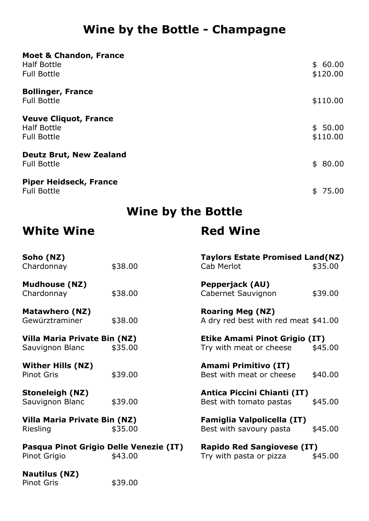### **Wine by the Bottle - Champagne**

| <b>Moet &amp; Chandon, France</b>                                        |                     |
|--------------------------------------------------------------------------|---------------------|
| <b>Half Bottle</b><br><b>Full Bottle</b>                                 | \$60.00<br>\$120.00 |
| <b>Bollinger, France</b><br><b>Full Bottle</b>                           | \$110.00            |
| <b>Veuve Cliquot, France</b><br><b>Half Bottle</b><br><b>Full Bottle</b> | \$50.00<br>\$110.00 |
| <b>Deutz Brut, New Zealand</b><br><b>Full Bottle</b>                     | \$80.00             |
| <b>Piper Heidseck, France</b><br><b>Full Bottle</b>                      | \$75.00             |

### **Wine by the Bottle**

### **White Wine Red Wine**

| Soho (NZ)<br>Chardonnay                                           | \$38.00 | <b>Taylors Estate Promised Land(NZ)</b><br>Cab Merlot           | \$35.00 |
|-------------------------------------------------------------------|---------|-----------------------------------------------------------------|---------|
| <b>Mudhouse (NZ)</b>                                              |         | Pepperjack (AU)                                                 |         |
| Chardonnay                                                        | \$38.00 | Cabernet Sauvignon                                              | \$39.00 |
| <b>Matawhero (NZ)</b><br>Gewürztraminer                           | \$38.00 | <b>Roaring Meg (NZ)</b><br>A dry red best with red meat \$41.00 |         |
| Villa Maria Private Bin (NZ)<br>Sauvignon Blanc                   | \$35.00 | <b>Etike Amami Pinot Grigio (IT)</b><br>Try with meat or cheese | \$45.00 |
| <b>Wither Hills (NZ)</b><br><b>Pinot Gris</b>                     | \$39.00 | Amami Primitivo (IT)<br>Best with meat or cheese                | \$40.00 |
| <b>Stoneleigh (NZ)</b><br>Sauvignon Blanc                         | \$39.00 | Antica Piccini Chianti (IT)<br>Best with tomato pastas          | \$45.00 |
| Villa Maria Private Bin (NZ)<br>Riesling                          | \$35.00 | <b>Famiglia Valpolicella (IT)</b><br>Best with savoury pasta    | \$45.00 |
| Pasqua Pinot Grigio Delle Venezie (IT)<br>Pinot Grigio<br>\$43.00 |         | <b>Rapido Red Sangiovese (IT)</b><br>Try with pasta or pizza    | \$45.00 |
| <b>Nautilus (NZ)</b>                                              |         |                                                                 |         |

Pinot Gris \$39.00